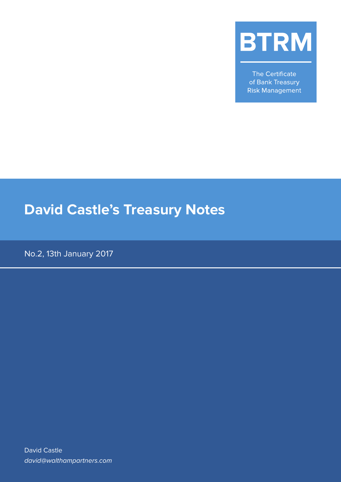

The Certificate of Bank Treasury **Risk Management** 

# **David Castle's Treasury Notes**

No.2, 13th January 2017

David Castle david@walthampartners.com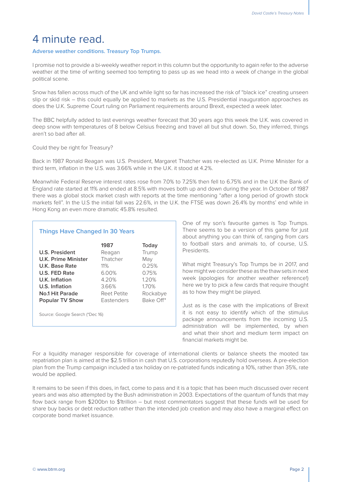## 4 minute read.

#### **Adverse weather conditions. Treasury Top Trumps.**

I promise not to provide a bi-weekly weather report in this column but the opportunity to again refer to the adverse weather at the time of writing seemed too tempting to pass up as we head into a week of change in the global political scene.

Snow has fallen across much of the UK and while light so far has increased the risk of "black ice" creating unseen slip or skid risk – this could equally be applied to markets as the U.S. Presidential inauguration approaches as does the U.K. Supreme Court ruling on Parliament requirements around Brexit, expected a week later.

The BBC helpfully added to last evenings weather forecast that 30 years ago this week the U.K. was covered in deep snow with temperatures of 8 below Celsius freezing and travel all but shut down. So, they inferred, things aren't so bad after all.

Could they be right for Treasury?

Back in 1987 Ronald Reagan was U.S. President, Margaret Thatcher was re-elected as U.K. Prime Minister for a third term, inflation in the U.S. was 3.66% while in the U.K. it stood at 4.2%.

Meanwhile Federal Reserve interest rates rose from 7.0% to 7.25% then fell to 6.75% and in the U.K the Bank of England rate started at 11% and ended at 8.5% with moves both up and down during the year. In October of 1987 there was a global stock market crash with reports at the time mentioning "after a long period of growth stock markets fell". In the U.S the initial fall was 22.6%, in the U.K. the FTSE was down 26.4% by months' end while in Hong Kong an even more dramatic 45.8% resulted.

### **Things Have Changed In 30 Years**

|                        | 1987              | Today     |
|------------------------|-------------------|-----------|
| U.S. President         | Reagan            | Trump     |
| U.K. Prime Minister    | Thatcher          | May       |
| U.K. Base Rate         | $11\%$            | 0.25%     |
| U.S. FED Rate          | 6.00%             | 0.75%     |
| U.K. Inflation         | 4.20%             | 120%      |
| U.S. Inflation         | 3.66%             | 1.70%     |
| No.1 Hit Parade        | Reet Petite       | Rockabye  |
| <b>Popular TV Show</b> | <b>Fastenders</b> | Bake Off* |
|                        |                   |           |

Source: Google Search (\*Dec 16)

One of my son's favourite games is Top Trumps. There seems to be a version of this game for just about anything you can think of, ranging from cars to football stars and animals to, of course, U.S. **Presidents** 

What might Treasury's Top Trumps be in 2017, and how might we consider these as the thaw sets in next week (apologies for another weather reference!) here we try to pick a few cards that require thought as to how they might be played.

Just as is the case with the implications of Brexit it is not easy to identify which of the stimulus package announcements from the incoming U.S. administration will be implemented, by when and what their short and medium term impact on financial markets might be.

For a liquidity manager responsible for coverage of international clients or balance sheets the mooted tax repatriation plan is aimed at the \$2.5 trillion in cash that U.S. corporations reputedly hold overseas. A pre-election plan from the Trump campaign included a tax holiday on re-patriated funds indicating a 10%, rather than 35%, rate would be applied.

It remains to be seen if this does, in fact, come to pass and it is a topic that has been much discussed over recent years and was also attempted by the Bush administration in 2003. Expectations of the quantum of funds that may flow back range from \$200bn to \$1trillion – but most commentators suggest that these funds will be used for share buy backs or debt reduction rather than the intended job creation and may also have a marginal effect on corporate bond market issuance.